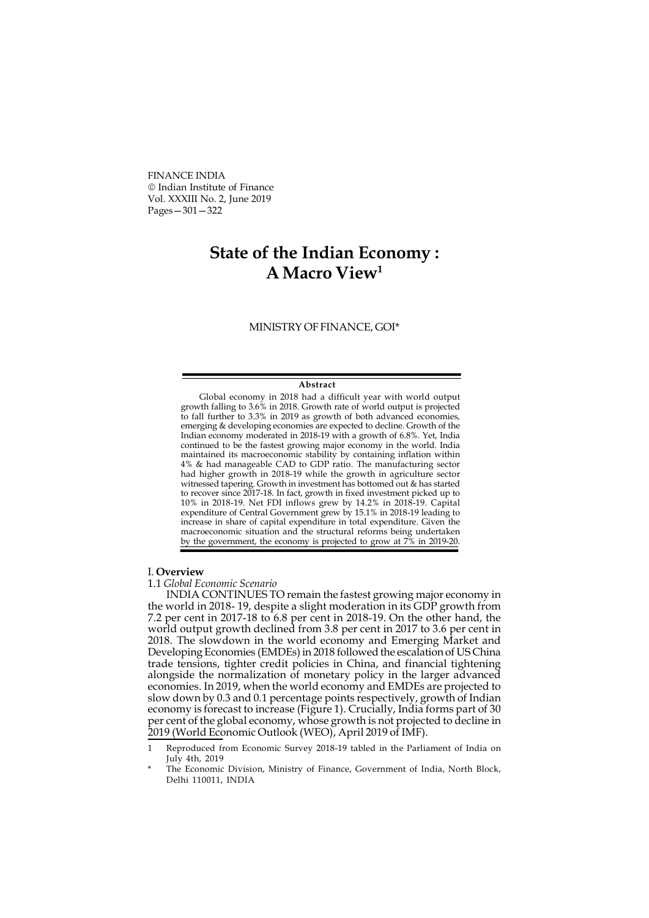FINANCE INDIA Indian Institute of Finance Vol. XXXIII No. 2, June 2019 Pages—301—322

## State of the Indian Economy : A Macro View<sup>1</sup>

MINISTRY OF FINANCE, GOI\*

## Abstract

Global economy in 2018 had a difficult year with world output growth falling to 3.6% in 2018. Growth rate of world output is projected to fall further to 3.3% in 2019 as growth of both advanced economies, emerging & developing economies are expected to decline. Growth of the Indian economy moderated in 2018-19 with a growth of 6.8%. Yet, India continued to be the fastest growing major economy in the world. India maintained its macroeconomic stability by containing inflation within 4% & had manageable CAD to GDP ratio. The manufacturing sector had higher growth in 2018-19 while the growth in agriculture sector witnessed tapering. Growth in investment has bottomed out & has started to recover since 2017-18. In fact, growth in fixed investment picked up to 10% in 2018-19. Net FDI inflows grew by 14.2% in 2018-19. Capital expenditure of Central Government grew by 15.1% in 2018-19 leading to increase in share of capital expenditure in total expenditure. Given the macroeconomic situation and the structural reforms being undertaken by the government, the economy is projected to grow at 7% in 2019-20.

## I. Overview

1.1 Global Economic Scenario

INDIA CONTINUES TO remain the fastest growing major economy in the world in 2018- 19, despite a slight moderation in its GDP growth from 7.2 per cent in 2017-18 to 6.8 per cent in 2018-19. On the other hand, the world output growth declined from 3.8 per cent in 2017 to 3.6 per cent in 2018. The slowdown in the world economy and Emerging Market and Developing Economies (EMDEs) in 2018 followed the escalation of US China trade tensions, tighter credit policies in China, and financial tightening alongside the normalization of monetary policy in the larger advanced economies. In 2019, when the world economy and EMDEs are projected to slow down by 0.3 and 0.1 percentage points respectively, growth of Indian economy is forecast to increase (Figure 1). Crucially, India forms part of 30 per cent of the global economy, whose growth is not projected to decline in 2019 (World Economic Outlook (WEO), April 2019 of IMF).

<sup>1</sup> Reproduced from Economic Survey 2018-19 tabled in the Parliament of India on July 4th, 2019

The Economic Division, Ministry of Finance, Government of India, North Block, Delhi 110011, INDIA